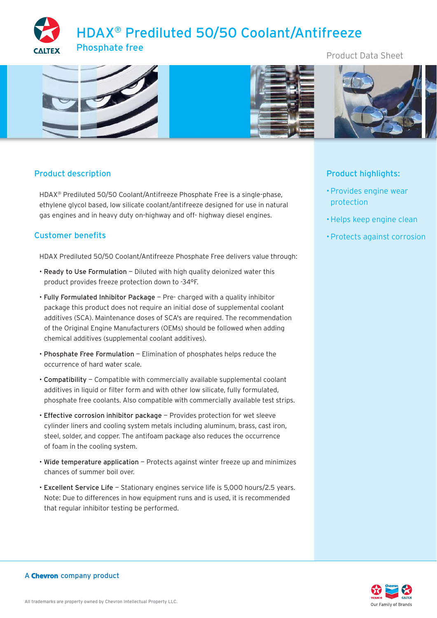# HDAX® Prediluted 50/50 Coolant/Antifreeze Phosphate free



# Product description

HDAX® Prediluted 50/50 Coolant/Antifreeze Phosphate Free is a single-phase, ethylene glycol based, low silicate coolant/antifreeze designed for use in natural gas engines and in heavy duty on-highway and off- highway diesel engines.

# Customer benefits

HDAX Prediluted 50/50 Coolant/Antifreeze Phosphate Free delivers value through:

- Ready to Use Formulation Diluted with high quality deionized water this product provides freeze protection down to -34°F.
- Fully Formulated Inhibitor Package Pre- charged with a quality inhibitor package this product does not require an initial dose of supplemental coolant additives (SCA). Maintenance doses of SCA's are required. The recommendation of the Original Engine Manufacturers (OEMs) should be followed when adding chemical additives (supplemental coolant additives).
- Phosphate Free Formulation Elimination of phosphates helps reduce the occurrence of hard water scale.
- Compatibility Compatible with commercially available supplemental coolant additives in liquid or filter form and with other low silicate, fully formulated, phosphate free coolants. Also compatible with commercially available test strips.
- Effective corrosion inhibitor package Provides protection for wet sleeve cylinder liners and cooling system metals including aluminum, brass, cast iron, steel, solder, and copper. The antifoam package also reduces the occurrence of foam in the cooling system.
- Wide temperature application Protects against winter freeze up and minimizes chances of summer boil over.
- Excellent Service Life Stationary engines service life is 5,000 hours/2.5 years. Note: Due to differences in how equipment runs and is used, it is recommended that regular inhibitor testing be performed.

# Product Data Sheet



# Product highlights:

- Provides engine wear protection
- Helps keep engine clean
- Protects against corrosion

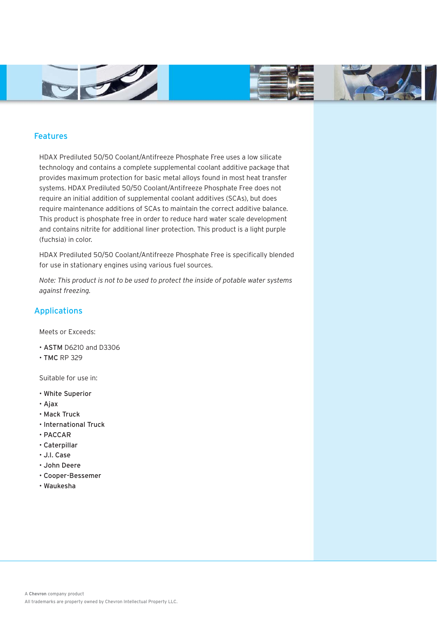



### Features

HDAX Prediluted 50/50 Coolant/Antifreeze Phosphate Free uses a low silicate technology and contains a complete supplemental coolant additive package that provides maximum protection for basic metal alloys found in most heat transfer systems. HDAX Prediluted 50/50 Coolant/Antifreeze Phosphate Free does not require an initial addition of supplemental coolant additives (SCAs), but does require maintenance additions of SCAs to maintain the correct additive balance. This product is phosphate free in order to reduce hard water scale development and contains nitrite for additional liner protection. This product is a light purple (fuchsia) in color.

HDAX Prediluted 50/50 Coolant/Antifreeze Phosphate Free is specifically blended for use in stationary engines using various fuel sources.

*Note: This product is not to be used to protect the inside of potable water systems against freezing.*

## Applications

Meets or Exceeds:

- ASTM D6210 and D3306
- TMC RP 329

Suitable for use in:

- White Superior
- Ajax
- Mack Truck
- International Truck
- PACCAR
- Caterpillar
- J.I. Case
- John Deere
- Cooper-Bessemer
- Waukesha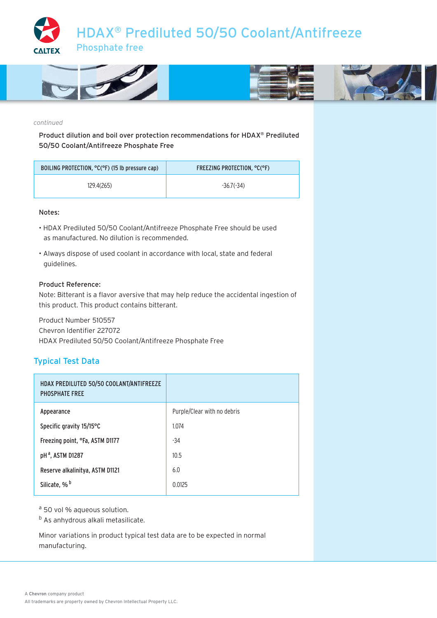



#### *continued*

Product dilution and boil over protection recommendations for HDAX® Prediluted 50/50 Coolant/Antifreeze Phosphate Free

| BOILING PROTECTION, °C(°F) (15 lb pressure cap) | FREEZING PROTECTION. °C(°F) |
|-------------------------------------------------|-----------------------------|
| 129.4(265)                                      | $-36.7(-34)$                |

#### Notes:

- HDAX Prediluted 50/50 Coolant/Antifreeze Phosphate Free should be used as manufactured. No dilution is recommended.
- Always dispose of used coolant in accordance with local, state and federal guidelines.

#### Product Reference:

Note: Bitterant is a flavor aversive that may help reduce the accidental ingestion of this product. This product contains bitterant.

Product Number 510557 Chevron Identifier 227072 HDAX Prediluted 50/50 Coolant/Antifreeze Phosphate Free

## Typical Test Data

| HDAX PREDILUTED 50/50 COOLANT/ANTIFREEZE<br><b>PHOSPHATE FREE</b> |                             |
|-------------------------------------------------------------------|-----------------------------|
| Appearance                                                        | Purple/Clear with no debris |
| Specific gravity 15/15°C                                          | 1.074                       |
| Freezing point, °Fa, ASTM D1177                                   | -34                         |
| pH <sup>a</sup> , ASTM D1287                                      | 10.5                        |
| Reserve alkalinitya, ASTM D1121                                   | 6.0                         |
| Silicate, % <sup>b</sup>                                          | 0.0125                      |

a 50 vol % aqueous solution.

<sup>b</sup> As anhydrous alkali metasilicate.

Minor variations in product typical test data are to be expected in normal manufacturing.